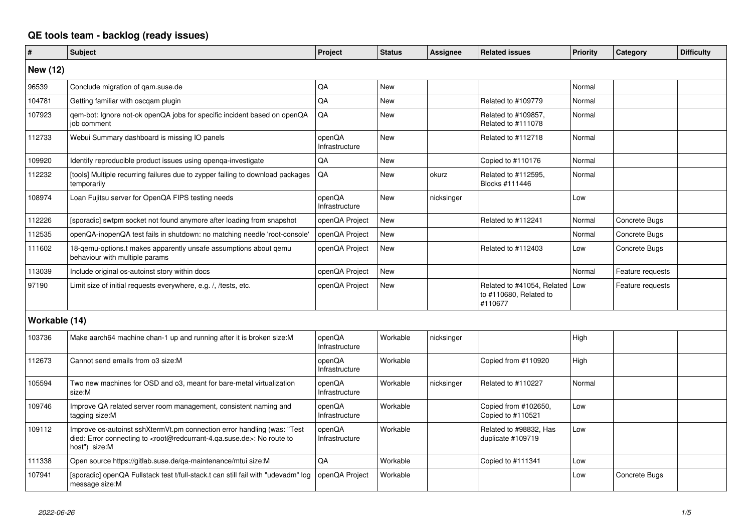## **QE tools team - backlog (ready issues)**

| $\vert$ #       | <b>Subject</b>                                                                                                                                                                                    | <b>Project</b>           | <b>Status</b> | <b>Assignee</b> | <b>Related issues</b>                                               | <b>Priority</b> | Category         | <b>Difficulty</b> |
|-----------------|---------------------------------------------------------------------------------------------------------------------------------------------------------------------------------------------------|--------------------------|---------------|-----------------|---------------------------------------------------------------------|-----------------|------------------|-------------------|
| <b>New (12)</b> |                                                                                                                                                                                                   |                          |               |                 |                                                                     |                 |                  |                   |
| 96539           | Conclude migration of gam.suse.de                                                                                                                                                                 | QA                       | New           |                 |                                                                     | Normal          |                  |                   |
| 104781          | Getting familiar with oscgam plugin                                                                                                                                                               | QA                       | <b>New</b>    |                 | Related to #109779                                                  | Normal          |                  |                   |
| 107923          | qem-bot: Ignore not-ok openQA jobs for specific incident based on openQA<br>job comment                                                                                                           | QA                       | <b>New</b>    |                 | Related to #109857,<br>Related to #111078                           | Normal          |                  |                   |
| 112733          | Webui Summary dashboard is missing IO panels                                                                                                                                                      | openQA<br>Infrastructure | <b>New</b>    |                 | Related to #112718                                                  | Normal          |                  |                   |
| 109920          | Identify reproducible product issues using openga-investigate                                                                                                                                     | QA                       | <b>New</b>    |                 | Copied to #110176                                                   | Normal          |                  |                   |
| 112232          | [tools] Multiple recurring failures due to zypper failing to download packages<br>temporarily                                                                                                     | QA                       | <b>New</b>    | okurz           | Related to #112595,<br>Blocks #111446                               | Normal          |                  |                   |
| 108974          | Loan Fujitsu server for OpenQA FIPS testing needs                                                                                                                                                 | openQA<br>Infrastructure | New           | nicksinger      |                                                                     | Low             |                  |                   |
| 112226          | [sporadic] swtpm socket not found anymore after loading from snapshot                                                                                                                             | openQA Project           | <b>New</b>    |                 | Related to #112241                                                  | Normal          | Concrete Bugs    |                   |
| 112535          | openQA-inopenQA test fails in shutdown: no matching needle 'root-console'                                                                                                                         | openQA Project           | <b>New</b>    |                 |                                                                     | Normal          | Concrete Bugs    |                   |
| 111602          | 18-gemu-options.t makes apparently unsafe assumptions about gemu<br>behaviour with multiple params                                                                                                | openQA Project           | <b>New</b>    |                 | Related to #112403                                                  | Low             | Concrete Bugs    |                   |
| 113039          | Include original os-autoinst story within docs                                                                                                                                                    | openQA Project           | <b>New</b>    |                 |                                                                     | Normal          | Feature requests |                   |
| 97190           | Limit size of initial requests everywhere, e.g. /, /tests, etc.                                                                                                                                   | openQA Project           | <b>New</b>    |                 | Related to #41054, Related Low<br>to #110680, Related to<br>#110677 |                 | Feature requests |                   |
| Workable (14)   |                                                                                                                                                                                                   |                          |               |                 |                                                                     |                 |                  |                   |
| 103736          | Make aarch64 machine chan-1 up and running after it is broken size: M                                                                                                                             | openQA<br>Infrastructure | Workable      | nicksinger      |                                                                     | High            |                  |                   |
| 112673          | Cannot send emails from o3 size:M                                                                                                                                                                 | openQA<br>Infrastructure | Workable      |                 | Copied from #110920                                                 | High            |                  |                   |
| 105594          | Two new machines for OSD and o3, meant for bare-metal virtualization<br>size:M                                                                                                                    | openQA<br>Infrastructure | Workable      | nicksinger      | Related to #110227                                                  | Normal          |                  |                   |
| 109746          | Improve QA related server room management, consistent naming and<br>tagging size:M                                                                                                                | openQA<br>Infrastructure | Workable      |                 | Copied from #102650,<br>Copied to #110521                           | Low             |                  |                   |
| 109112          | Improve os-autoinst sshXtermVt.pm connection error handling (was: "Test<br>died: Error connecting to <root@redcurrant-4.ga.suse.de>: No route to<br/>host") size:M</root@redcurrant-4.ga.suse.de> | openQA<br>Infrastructure | Workable      |                 | Related to #98832, Has<br>duplicate #109719                         | Low             |                  |                   |
| 111338          | Open source https://gitlab.suse.de/qa-maintenance/mtui size:M                                                                                                                                     | QA                       | Workable      |                 | Copied to #111341                                                   | Low             |                  |                   |
| 107941          | [sporadic] openQA Fullstack test t/full-stack.t can still fail with "udevadm" log<br>message size:M                                                                                               | openQA Project           | Workable      |                 |                                                                     | Low             | Concrete Bugs    |                   |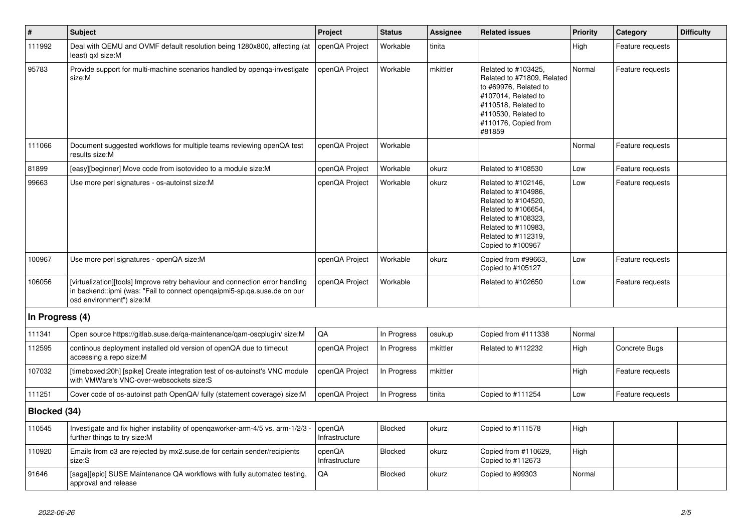| $\vert$ #       | <b>Subject</b>                                                                                                                                                                        | <b>Project</b>           | <b>Status</b> | Assignee | <b>Related issues</b>                                                                                                                                                              | <b>Priority</b> | Category         | <b>Difficulty</b> |
|-----------------|---------------------------------------------------------------------------------------------------------------------------------------------------------------------------------------|--------------------------|---------------|----------|------------------------------------------------------------------------------------------------------------------------------------------------------------------------------------|-----------------|------------------|-------------------|
| 111992          | Deal with QEMU and OVMF default resolution being 1280x800, affecting (at<br>least) gxl size:M                                                                                         | openQA Project           | Workable      | tinita   |                                                                                                                                                                                    | High            | Feature requests |                   |
| 95783           | Provide support for multi-machine scenarios handled by openga-investigate<br>size:M                                                                                                   | openQA Project           | Workable      | mkittler | Related to #103425,<br>Related to #71809, Related<br>to #69976, Related to<br>#107014, Related to<br>#110518, Related to<br>#110530, Related to<br>#110176, Copied from<br>#81859  | Normal          | Feature requests |                   |
| 111066          | Document suggested workflows for multiple teams reviewing openQA test<br>results size:M                                                                                               | openQA Project           | Workable      |          |                                                                                                                                                                                    | Normal          | Feature requests |                   |
| 81899           | [easy][beginner] Move code from isotovideo to a module size:M                                                                                                                         | openQA Project           | Workable      | okurz    | Related to #108530                                                                                                                                                                 | Low             | Feature requests |                   |
| 99663           | Use more perl signatures - os-autoinst size:M                                                                                                                                         | openQA Project           | Workable      | okurz    | Related to #102146,<br>Related to #104986,<br>Related to #104520,<br>Related to #106654,<br>Related to #108323,<br>Related to #110983,<br>Related to #112319,<br>Copied to #100967 | Low             | Feature requests |                   |
| 100967          | Use more perl signatures - openQA size:M                                                                                                                                              | openQA Project           | Workable      | okurz    | Copied from #99663,<br>Copied to #105127                                                                                                                                           | Low             | Feature requests |                   |
| 106056          | [virtualization][tools] Improve retry behaviour and connection error handling<br>in backend::ipmi (was: "Fail to connect opengaipmi5-sp.ga.suse.de on our<br>osd environment") size:M | openQA Project           | Workable      |          | Related to #102650                                                                                                                                                                 | Low             | Feature requests |                   |
| In Progress (4) |                                                                                                                                                                                       |                          |               |          |                                                                                                                                                                                    |                 |                  |                   |
| 111341          | Open source https://gitlab.suse.de/qa-maintenance/qam-oscplugin/ size:M                                                                                                               | QA                       | In Progress   | osukup   | Copied from #111338                                                                                                                                                                | Normal          |                  |                   |
| 112595          | continous deployment installed old version of openQA due to timeout<br>accessing a repo size:M                                                                                        | openQA Project           | In Progress   | mkittler | Related to #112232                                                                                                                                                                 | High            | Concrete Bugs    |                   |
| 107032          | [timeboxed:20h] [spike] Create integration test of os-autoinst's VNC module<br>with VMWare's VNC-over-websockets size:S                                                               | openQA Project           | In Progress   | mkittler |                                                                                                                                                                                    | High            | Feature requests |                   |
| 111251          | Cover code of os-autoinst path OpenQA/ fully (statement coverage) size:M                                                                                                              | openQA Project           | In Progress   | tinita   | Copied to #111254                                                                                                                                                                  | Low             | Feature requests |                   |
| Blocked (34)    |                                                                                                                                                                                       |                          |               |          |                                                                                                                                                                                    |                 |                  |                   |
| 110545          | Investigate and fix higher instability of opengaworker-arm-4/5 vs. arm-1/2/3<br>further things to try size:M                                                                          | openQA<br>Infrastructure | Blocked       | okurz    | Copied to #111578                                                                                                                                                                  | High            |                  |                   |
| 110920          | Emails from o3 are rejected by mx2.suse.de for certain sender/recipients<br>size:S                                                                                                    | openQA<br>Infrastructure | Blocked       | okurz    | Copied from #110629,<br>Copied to #112673                                                                                                                                          | High            |                  |                   |
| 91646           | [saga][epic] SUSE Maintenance QA workflows with fully automated testing.<br>approval and release                                                                                      | QA                       | Blocked       | okurz    | Copied to #99303                                                                                                                                                                   | Normal          |                  |                   |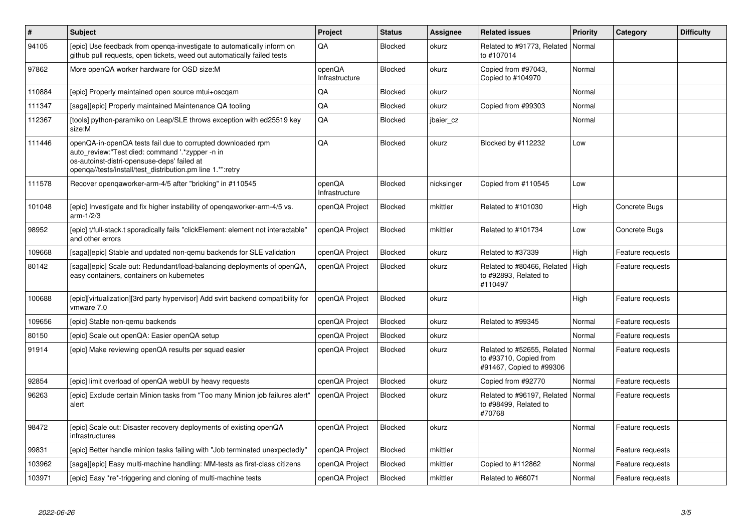| $\vert$ # | <b>Subject</b>                                                                                                                                                                                                              | Project                  | <b>Status</b> | Assignee   | <b>Related issues</b>                                                            | <b>Priority</b> | Category         | <b>Difficulty</b> |
|-----------|-----------------------------------------------------------------------------------------------------------------------------------------------------------------------------------------------------------------------------|--------------------------|---------------|------------|----------------------------------------------------------------------------------|-----------------|------------------|-------------------|
| 94105     | [epic] Use feedback from openqa-investigate to automatically inform on<br>github pull requests, open tickets, weed out automatically failed tests                                                                           | QA                       | Blocked       | okurz      | Related to #91773, Related<br>to #107014                                         | Normal          |                  |                   |
| 97862     | More openQA worker hardware for OSD size:M                                                                                                                                                                                  | openQA<br>Infrastructure | Blocked       | okurz      | Copied from #97043,<br>Copied to #104970                                         | Normal          |                  |                   |
| 110884    | [epic] Properly maintained open source mtui+oscgam                                                                                                                                                                          | QA                       | Blocked       | okurz      |                                                                                  | Normal          |                  |                   |
| 111347    | [saga][epic] Properly maintained Maintenance QA tooling                                                                                                                                                                     | QA                       | Blocked       | okurz      | Copied from #99303                                                               | Normal          |                  |                   |
| 112367    | [tools] python-paramiko on Leap/SLE throws exception with ed25519 key<br>size:M                                                                                                                                             | QA                       | Blocked       | jbaier cz  |                                                                                  | Normal          |                  |                   |
| 111446    | openQA-in-openQA tests fail due to corrupted downloaded rpm<br>auto review:"Test died: command '.*zypper -n in<br>os-autoinst-distri-opensuse-deps' failed at<br>openqa//tests/install/test_distribution.pm line 1.*":retry | QA                       | Blocked       | okurz      | Blocked by #112232                                                               | Low             |                  |                   |
| 111578    | Recover openqaworker-arm-4/5 after "bricking" in #110545                                                                                                                                                                    | openQA<br>Infrastructure | Blocked       | nicksinger | Copied from #110545                                                              | Low             |                  |                   |
| 101048    | [epic] Investigate and fix higher instability of opengaworker-arm-4/5 vs.<br>$arm-1/2/3$                                                                                                                                    | openQA Project           | Blocked       | mkittler   | Related to #101030                                                               | High            | Concrete Bugs    |                   |
| 98952     | [epic] t/full-stack.t sporadically fails "clickElement: element not interactable"<br>and other errors                                                                                                                       | openQA Project           | Blocked       | mkittler   | Related to #101734                                                               | Low             | Concrete Bugs    |                   |
| 109668    | [saga][epic] Stable and updated non-gemu backends for SLE validation                                                                                                                                                        | openQA Project           | Blocked       | okurz      | Related to #37339                                                                | High            | Feature requests |                   |
| 80142     | [saga][epic] Scale out: Redundant/load-balancing deployments of openQA,<br>easy containers, containers on kubernetes                                                                                                        | openQA Project           | Blocked       | okurz      | Related to #80466, Related<br>to #92893, Related to<br>#110497                   | High            | Feature requests |                   |
| 100688    | [epic][virtualization][3rd party hypervisor] Add svirt backend compatibility for<br>vmware 7.0                                                                                                                              | openQA Project           | Blocked       | okurz      |                                                                                  | High            | Feature requests |                   |
| 109656    | [epic] Stable non-gemu backends                                                                                                                                                                                             | openQA Project           | Blocked       | okurz      | Related to #99345                                                                | Normal          | Feature requests |                   |
| 80150     | [epic] Scale out openQA: Easier openQA setup                                                                                                                                                                                | openQA Project           | Blocked       | okurz      |                                                                                  | Normal          | Feature requests |                   |
| 91914     | [epic] Make reviewing openQA results per squad easier                                                                                                                                                                       | openQA Project           | Blocked       | okurz      | Related to #52655, Related<br>to #93710, Copied from<br>#91467, Copied to #99306 | Normal          | Feature requests |                   |
| 92854     | [epic] limit overload of openQA webUI by heavy requests                                                                                                                                                                     | openQA Project           | Blocked       | okurz      | Copied from #92770                                                               | Normal          | Feature requests |                   |
| 96263     | [epic] Exclude certain Minion tasks from "Too many Minion job failures alert"<br>alert                                                                                                                                      | openQA Project           | Blocked       | okurz      | Related to #96197, Related<br>to #98499, Related to<br>#70768                    | Normal          | Feature requests |                   |
| 98472     | [epic] Scale out: Disaster recovery deployments of existing openQA<br>infrastructures                                                                                                                                       | openQA Project           | Blocked       | okurz      |                                                                                  | Normal          | Feature requests |                   |
| 99831     | [epic] Better handle minion tasks failing with "Job terminated unexpectedly"                                                                                                                                                | openQA Project           | Blocked       | mkittler   |                                                                                  | Normal          | Feature requests |                   |
| 103962    | [saga][epic] Easy multi-machine handling: MM-tests as first-class citizens                                                                                                                                                  | openQA Project           | Blocked       | mkittler   | Copied to #112862                                                                | Normal          | Feature requests |                   |
| 103971    | [epic] Easy *re*-triggering and cloning of multi-machine tests                                                                                                                                                              | openQA Project           | Blocked       | mkittler   | Related to #66071                                                                | Normal          | Feature requests |                   |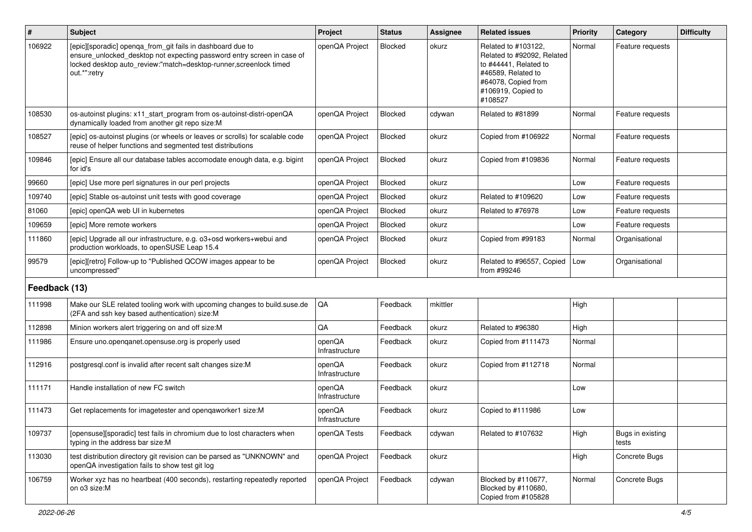| #             | Subject                                                                                                                                                                                                                    | Project                  | <b>Status</b> | <b>Assignee</b> | <b>Related issues</b>                                                                                                                                    | <b>Priority</b> | Category                  | <b>Difficulty</b> |
|---------------|----------------------------------------------------------------------------------------------------------------------------------------------------------------------------------------------------------------------------|--------------------------|---------------|-----------------|----------------------------------------------------------------------------------------------------------------------------------------------------------|-----------------|---------------------------|-------------------|
| 106922        | [epic][sporadic] openqa_from_git fails in dashboard due to<br>ensure_unlocked_desktop not expecting password entry screen in case of<br>locked desktop auto_review:"match=desktop-runner, screenlock timed<br>out.*":retry | openQA Project           | Blocked       | okurz           | Related to #103122,<br>Related to #92092. Related<br>to #44441, Related to<br>#46589, Related to<br>#64078, Copied from<br>#106919, Copied to<br>#108527 | Normal          | Feature requests          |                   |
| 108530        | os-autoinst plugins: x11 start program from os-autoinst-distri-openQA<br>dynamically loaded from another git repo size:M                                                                                                   | openQA Project           | Blocked       | cdywan          | Related to #81899                                                                                                                                        | Normal          | Feature requests          |                   |
| 108527        | [epic] os-autoinst plugins (or wheels or leaves or scrolls) for scalable code<br>reuse of helper functions and segmented test distributions                                                                                | openQA Project           | Blocked       | okurz           | Copied from #106922                                                                                                                                      | Normal          | Feature requests          |                   |
| 109846        | [epic] Ensure all our database tables accomodate enough data, e.g. bigint<br>for id's                                                                                                                                      | openQA Project           | Blocked       | okurz           | Copied from #109836                                                                                                                                      | Normal          | Feature requests          |                   |
| 99660         | [epic] Use more perl signatures in our perl projects                                                                                                                                                                       | openQA Project           | Blocked       | okurz           |                                                                                                                                                          | Low             | Feature requests          |                   |
| 109740        | [epic] Stable os-autoinst unit tests with good coverage                                                                                                                                                                    | openQA Project           | Blocked       | okurz           | Related to #109620                                                                                                                                       | Low             | Feature requests          |                   |
| 81060         | [epic] openQA web UI in kubernetes                                                                                                                                                                                         | openQA Project           | Blocked       | okurz           | Related to #76978                                                                                                                                        | Low             | Feature requests          |                   |
| 109659        | <b>Tepic1 More remote workers</b>                                                                                                                                                                                          | openQA Project           | Blocked       | okurz           |                                                                                                                                                          | Low             | Feature requests          |                   |
| 111860        | [epic] Upgrade all our infrastructure, e.g. o3+osd workers+webui and<br>production workloads, to openSUSE Leap 15.4                                                                                                        | openQA Project           | Blocked       | okurz           | Copied from #99183                                                                                                                                       | Normal          | Organisational            |                   |
| 99579         | [epic][retro] Follow-up to "Published QCOW images appear to be<br>uncompressed"                                                                                                                                            | openQA Project           | Blocked       | okurz           | Related to #96557, Copied<br>from #99246                                                                                                                 | Low             | Organisational            |                   |
| Feedback (13) |                                                                                                                                                                                                                            |                          |               |                 |                                                                                                                                                          |                 |                           |                   |
| 111998        | Make our SLE related tooling work with upcoming changes to build.suse.de<br>(2FA and ssh key based authentication) size:M                                                                                                  | QA                       | Feedback      | mkittler        |                                                                                                                                                          | High            |                           |                   |
| 112898        | Minion workers alert triggering on and off size:M                                                                                                                                                                          | QA                       | Feedback      | okurz           | Related to #96380                                                                                                                                        | High            |                           |                   |
| 111986        | Ensure uno.openganet.opensuse.org is properly used                                                                                                                                                                         | openQA<br>Infrastructure | Feedback      | okurz           | Copied from #111473                                                                                                                                      | Normal          |                           |                   |
| 112916        | postgresql.conf is invalid after recent salt changes size:M                                                                                                                                                                | openQA<br>Infrastructure | Feedback      | okurz           | Copied from #112718                                                                                                                                      | Normal          |                           |                   |
| 111171        | Handle installation of new FC switch                                                                                                                                                                                       | openQA<br>Infrastructure | Feedback      | okurz           |                                                                                                                                                          | Low             |                           |                   |
| 111473        | Get replacements for imagetester and openqaworker1 size:M                                                                                                                                                                  | openQA<br>Infrastructure | Feedback      | okurz           | Copied to #111986                                                                                                                                        | Low             |                           |                   |
| 109737        | [opensuse][sporadic] test fails in chromium due to lost characters when<br>typing in the address bar size:M                                                                                                                | openQA Tests             | Feedback      | cdywan          | Related to #107632                                                                                                                                       | High            | Bugs in existing<br>tests |                   |
| 113030        | test distribution directory git revision can be parsed as "UNKNOWN" and<br>openQA investigation fails to show test git log                                                                                                 | openQA Project           | Feedback      | okurz           |                                                                                                                                                          | High            | Concrete Bugs             |                   |
| 106759        | Worker xyz has no heartbeat (400 seconds), restarting repeatedly reported<br>on o3 size:M                                                                                                                                  | openQA Project           | Feedback      | cdywan          | Blocked by #110677,<br>Blocked by #110680,<br>Copied from #105828                                                                                        | Normal          | Concrete Bugs             |                   |